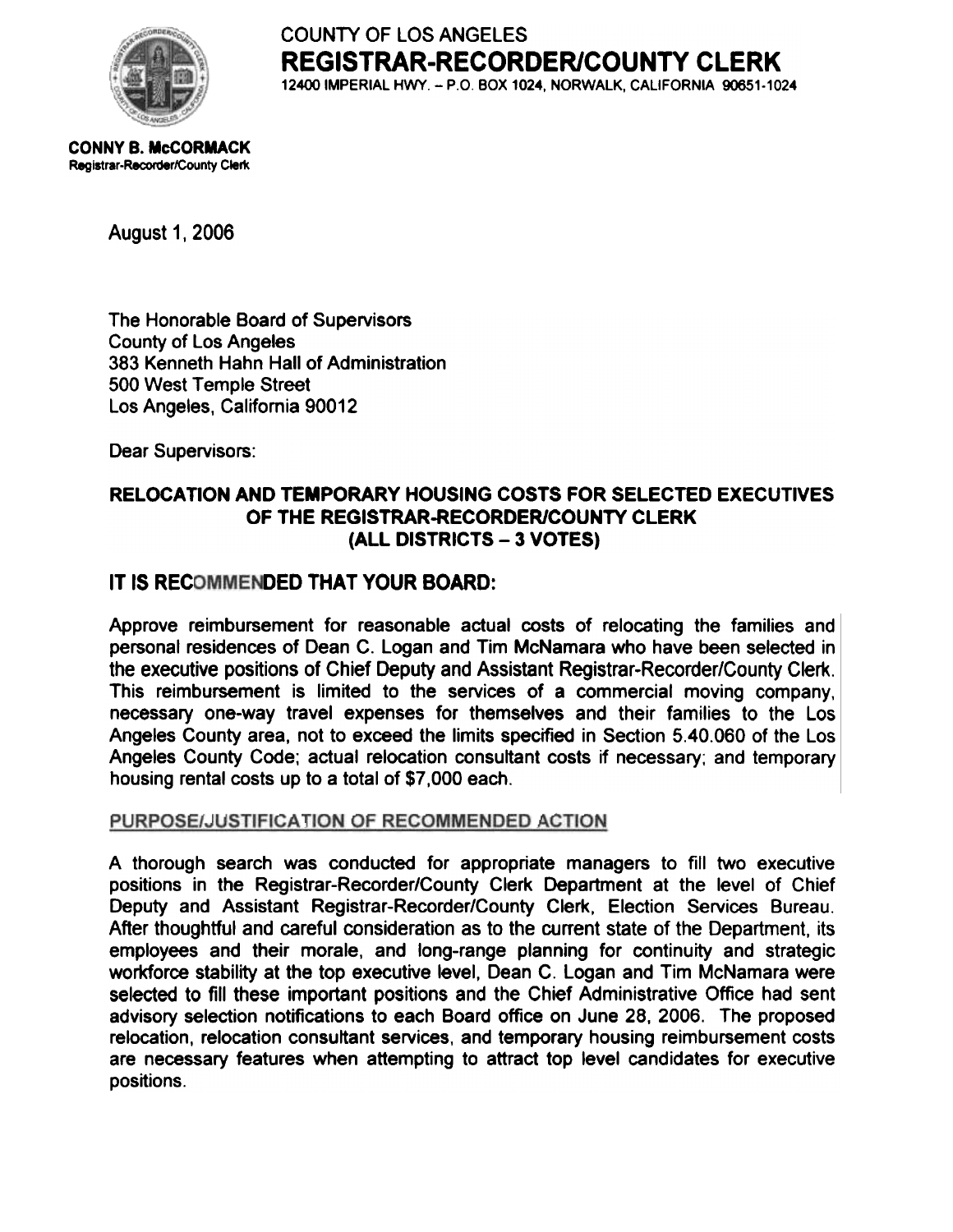

COUNTY OF LOS ANGELES REGISTRAR-RECORDER/COUNTY CLERK 12400 IMPERIAL HWY. - P.O. BOX 1024, NORWALK, CALIFORNIA 90651-1024

CONNY B. McCORMACK Registrar-Recorder/County Clerk

August 1, 2006

The Honorable Board of Supervisors County of Los Angeles 383 Kenneth Hahn Hall of Administration 500 West Temple Street Los Angeles, California 90012

Dear Supervisors:

## RELOCATION AND TEMPORARY HOUSING COSTS FOR SELECTED EXECUTIVES OF THE REGISTRAR-RECORDER/COUNTY CLERK (ALL DISTRICTS - 3 VOTES)

# IT IS RECOMMENDED THAT YOUR BOARD:

Approve reimbursement for reasonable actual costs of relocating the families and personal residences of Dean C. Logan and Tim McNamara who have been selected in the executive positions of Chief Deputy and Assistant Registrar-Recorder/County Clerk. This reimbursement is limited to the services of a commercial moving company, necessary one-way travel expenses for themselves and their families to the Los Angeles County area, not to exceed the limits specified in Section 5.40.060 of the Los Angeles County Code; actual relocation consultant costs if necessary; and temporary housing rental costs up to a total of \$7,000 each.

#### PURPOSE/JUSTIFICATION OF RECOMMENDED ACTION

A thorough search was conducted for appropriate managers to fill two executive positions in the Registrar-Recorder/County Clerk Department at the level of Chief Deputy and Assistant Registrar-Recorder/County Clerk, Election Services Bureau. After thoughtful and careful consideration as to the current state of the Department, its employees and their morale, and long-range planning for continuity and strategic workforce stability at the top executive level, Dean C. Logan and Tim McNamara were selected to fill these important positions and the Chief Administrative Office had sent advisory selection notifications to each Board office on June 28, 2006. The proposed relocation, relocation consultant services, and temporary housing reimbursement costs are necessary features when attempting to attract top level candidates for executive positions.